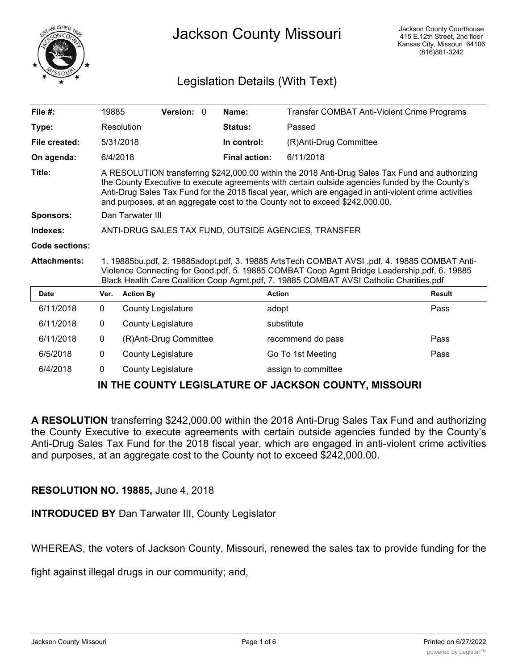

# Legislation Details (With Text)

| File $#$ :          | 19885                                                                                                                                                                                                                                                                                                                                                                                       |                           | Version: 0             |  | Name:                | Transfer COMBAT Anti-Violent Crime Programs |               |
|---------------------|---------------------------------------------------------------------------------------------------------------------------------------------------------------------------------------------------------------------------------------------------------------------------------------------------------------------------------------------------------------------------------------------|---------------------------|------------------------|--|----------------------|---------------------------------------------|---------------|
| Type:               |                                                                                                                                                                                                                                                                                                                                                                                             | Resolution                |                        |  | Status:              | Passed                                      |               |
| File created:       |                                                                                                                                                                                                                                                                                                                                                                                             | 5/31/2018                 |                        |  | In control:          | (R)Anti-Drug Committee                      |               |
| On agenda:          | 6/4/2018                                                                                                                                                                                                                                                                                                                                                                                    |                           |                        |  | <b>Final action:</b> | 6/11/2018                                   |               |
| Title:              | A RESOLUTION transferring \$242,000.00 within the 2018 Anti-Drug Sales Tax Fund and authorizing<br>the County Executive to execute agreements with certain outside agencies funded by the County's<br>Anti-Drug Sales Tax Fund for the 2018 fiscal year, which are engaged in anti-violent crime activities<br>and purposes, at an aggregate cost to the County not to exceed \$242,000.00. |                           |                        |  |                      |                                             |               |
| Sponsors:           | Dan Tarwater III                                                                                                                                                                                                                                                                                                                                                                            |                           |                        |  |                      |                                             |               |
| Indexes:            | ANTI-DRUG SALES TAX FUND, OUTSIDE AGENCIES, TRANSFER                                                                                                                                                                                                                                                                                                                                        |                           |                        |  |                      |                                             |               |
| Code sections:      |                                                                                                                                                                                                                                                                                                                                                                                             |                           |                        |  |                      |                                             |               |
| <b>Attachments:</b> | 1. 19885bu.pdf, 2. 19885adopt.pdf, 3. 19885 ArtsTech COMBAT AVSI .pdf, 4. 19885 COMBAT Anti-<br>Violence Connecting for Good.pdf, 5. 19885 COMBAT Coop Agmt Bridge Leadership.pdf, 6. 19885<br>Black Health Care Coalition Coop Agmt.pdf, 7. 19885 COMBAT AVSI Catholic Charities.pdf                                                                                                       |                           |                        |  |                      |                                             |               |
| <b>Date</b>         | Ver.                                                                                                                                                                                                                                                                                                                                                                                        | <b>Action By</b>          |                        |  |                      | <b>Action</b>                               | <b>Result</b> |
| 6/11/2018           | $\mathbf{0}$                                                                                                                                                                                                                                                                                                                                                                                | County Legislature        |                        |  |                      | adopt                                       | Pass          |
| 6/11/2018           | 0                                                                                                                                                                                                                                                                                                                                                                                           | <b>County Legislature</b> |                        |  |                      | substitute                                  |               |
| 6/11/2018           | 0                                                                                                                                                                                                                                                                                                                                                                                           |                           | (R)Anti-Drug Committee |  |                      | recommend do pass                           | Pass          |
| 6/5/2018            | 0                                                                                                                                                                                                                                                                                                                                                                                           | <b>County Legislature</b> |                        |  |                      | Go To 1st Meeting                           | Pass          |
| 6/4/2018            | 0                                                                                                                                                                                                                                                                                                                                                                                           | <b>County Legislature</b> |                        |  |                      | assign to committee                         |               |
|                     | IN TUE COUNTV I ECICI ATUDE OE TACKCON COUNTV MICCOUDI                                                                                                                                                                                                                                                                                                                                      |                           |                        |  |                      |                                             |               |

## **IN THE COUNTY LEGISLATURE OF JACKSON COUNTY, MISSOURI**

**A RESOLUTION** transferring \$242,000.00 within the 2018 Anti-Drug Sales Tax Fund and authorizing the County Executive to execute agreements with certain outside agencies funded by the County's Anti-Drug Sales Tax Fund for the 2018 fiscal year, which are engaged in anti-violent crime activities and purposes, at an aggregate cost to the County not to exceed \$242,000.00.

## **RESOLUTION NO. 19885,** June 4, 2018

**INTRODUCED BY** Dan Tarwater III, County Legislator

WHEREAS, the voters of Jackson County, Missouri, renewed the sales tax to provide funding for the

fight against illegal drugs in our community; and,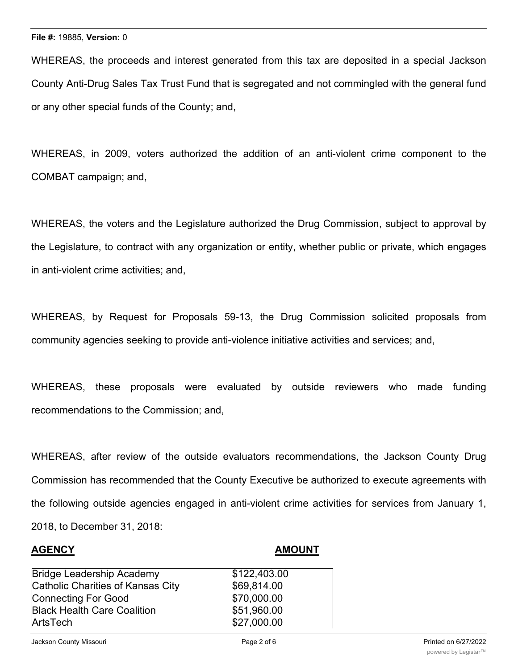WHEREAS, the proceeds and interest generated from this tax are deposited in a special Jackson County Anti-Drug Sales Tax Trust Fund that is segregated and not commingled with the general fund or any other special funds of the County; and,

WHEREAS, in 2009, voters authorized the addition of an anti-violent crime component to the COMBAT campaign; and,

WHEREAS, the voters and the Legislature authorized the Drug Commission, subject to approval by the Legislature, to contract with any organization or entity, whether public or private, which engages in anti-violent crime activities; and,

WHEREAS, by Request for Proposals 59-13, the Drug Commission solicited proposals from community agencies seeking to provide anti-violence initiative activities and services; and,

WHEREAS, these proposals were evaluated by outside reviewers who made funding recommendations to the Commission; and,

WHEREAS, after review of the outside evaluators recommendations, the Jackson County Drug Commission has recommended that the County Executive be authorized to execute agreements with the following outside agencies engaged in anti-violent crime activities for services from January 1, 2018, to December 31, 2018:

#### **AGENCY AMOUNT**

| <b>Bridge Leadership Academy</b>   | \$122,403.00 |
|------------------------------------|--------------|
| Catholic Charities of Kansas City  | \$69,814.00  |
| <b>Connecting For Good</b>         | \$70,000.00  |
| <b>Black Health Care Coalition</b> | \$51,960.00  |
| ArtsTech                           | \$27,000.00  |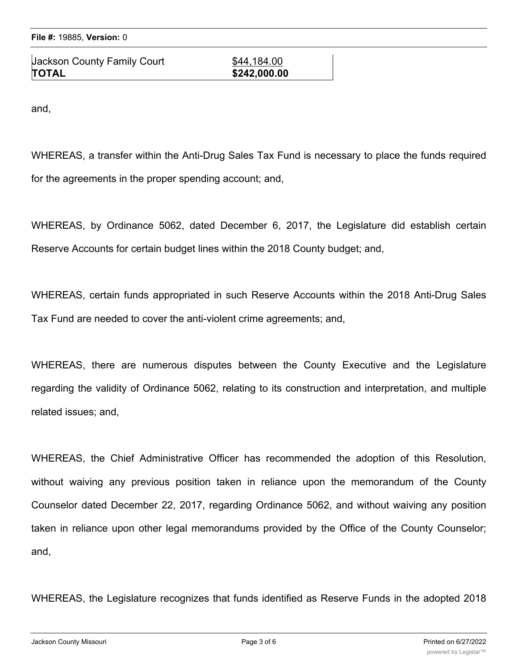ArtsTech \$27,000.00 Jackson County Family Court **\$44,184.00 TOTAL \$242,000.00**

Connecting For Good \$70,000.00

and,

WHEREAS, a transfer within the Anti-Drug Sales Tax Fund is necessary to place the funds required for the agreements in the proper spending account; and,

WHEREAS, by Ordinance 5062, dated December 6, 2017, the Legislature did establish certain Reserve Accounts for certain budget lines within the 2018 County budget; and,

WHEREAS, certain funds appropriated in such Reserve Accounts within the 2018 Anti-Drug Sales Tax Fund are needed to cover the anti-violent crime agreements; and,

WHEREAS, there are numerous disputes between the County Executive and the Legislature regarding the validity of Ordinance 5062, relating to its construction and interpretation, and multiple related issues; and,

WHEREAS, the Chief Administrative Officer has recommended the adoption of this Resolution, without waiving any previous position taken in reliance upon the memorandum of the County Counselor dated December 22, 2017, regarding Ordinance 5062, and without waiving any position taken in reliance upon other legal memorandums provided by the Office of the County Counselor; and,

WHEREAS, the Legislature recognizes that funds identified as Reserve Funds in the adopted 2018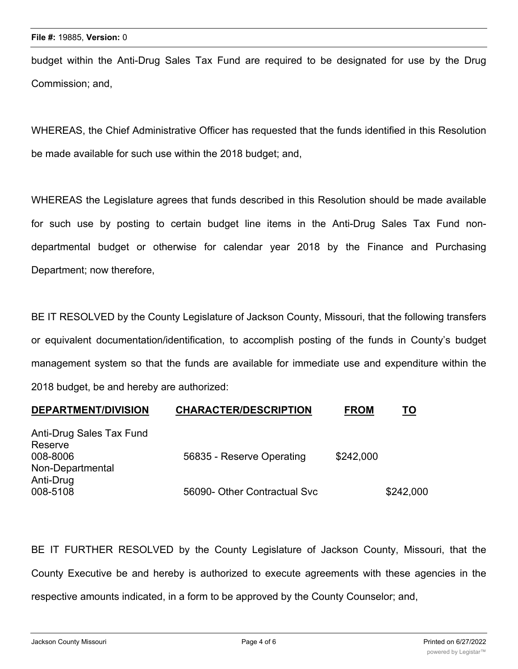budget within the Anti-Drug Sales Tax Fund are required to be designated for use by the Drug Commission; and,

WHEREAS, the Chief Administrative Officer has requested that the funds identified in this Resolution be made available for such use within the 2018 budget; and,

WHEREAS the Legislature agrees that funds described in this Resolution should be made available for such use by posting to certain budget line items in the Anti-Drug Sales Tax Fund nondepartmental budget or otherwise for calendar year 2018 by the Finance and Purchasing Department; now therefore,

BE IT RESOLVED by the County Legislature of Jackson County, Missouri, that the following transfers or equivalent documentation/identification, to accomplish posting of the funds in County's budget management system so that the funds are available for immediate use and expenditure within the 2018 budget, be and hereby are authorized:

| <b>DEPARTMENT/DIVISION</b>    | <b>CHARACTER/DESCRIPTION</b> | <b>FROM</b> | <u>TO</u> |
|-------------------------------|------------------------------|-------------|-----------|
| Anti-Drug Sales Tax Fund      |                              |             |           |
| Reserve<br>008-8006           | 56835 - Reserve Operating    | \$242,000   |           |
| Non-Departmental<br>Anti-Drug |                              |             |           |
| 008-5108                      | 56090- Other Contractual Svc |             | \$242,000 |

BE IT FURTHER RESOLVED by the County Legislature of Jackson County, Missouri, that the County Executive be and hereby is authorized to execute agreements with these agencies in the respective amounts indicated, in a form to be approved by the County Counselor; and,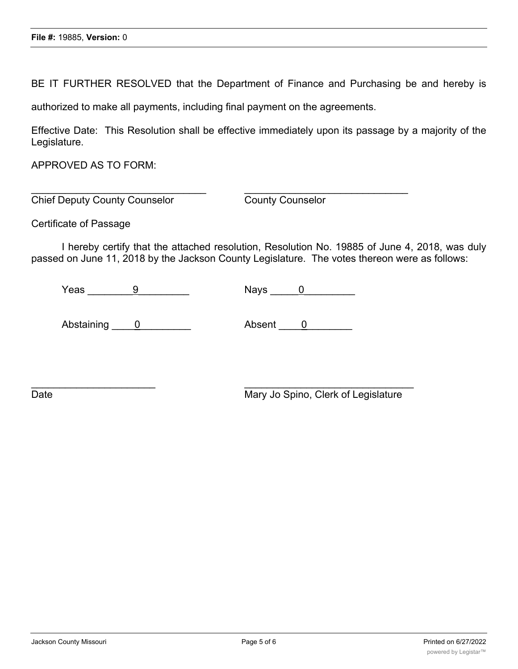BE IT FURTHER RESOLVED that the Department of Finance and Purchasing be and hereby is

authorized to make all payments, including final payment on the agreements.

 $\overline{\phantom{a}}$  , and the contribution of the contribution of the contribution of the contribution of the contribution of the contribution of the contribution of the contribution of the contribution of the contribution of the

 $\mathcal{L}_\text{max}$  , and the contract of the contract of the contract of the contract of the contract of the contract of

Effective Date: This Resolution shall be effective immediately upon its passage by a majority of the Legislature.

APPROVED AS TO FORM:

Chief Deputy County Counselor County Counselor

Certificate of Passage

I hereby certify that the attached resolution, Resolution No. 19885 of June 4, 2018, was duly passed on June 11, 2018 by the Jackson County Legislature. The votes thereon were as follows:

 $\gamma$ eas  $\qquad \qquad \frac{9}{2}$  Nays  $\qquad \frac{0}{2}$ 

Abstaining 0 Absent 0

Date **Date** Mary Jo Spino, Clerk of Legislature